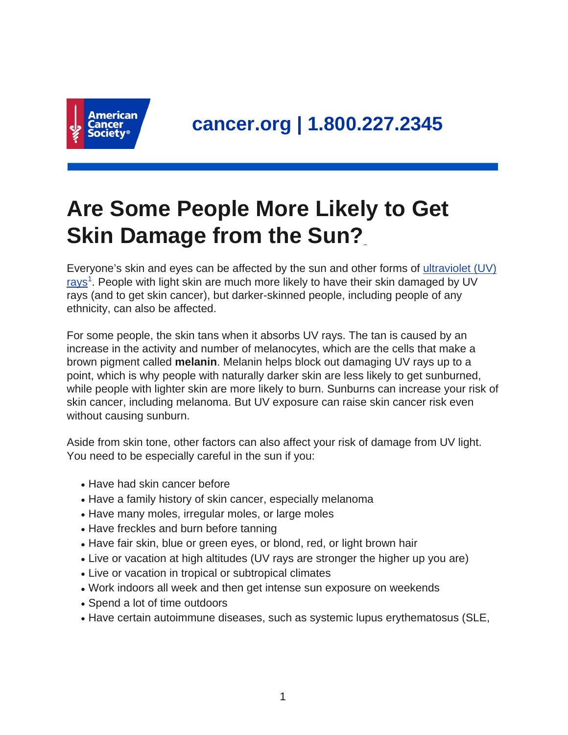

## **Are Some People More Likely to Get Skin Damage from the Sun?**

Everyone's skin and eyes can be affected by the sun and other forms of [ultraviolet \(UV\)](https://www.cancer.org/cancer/cancer-causes/radiation-exposure/uv-radiation.html) [rays](https://www.cancer.org/cancer/cancer-causes/radiation-exposure/uv-radiation.html)<sup>1</sup>. People with light skin are much more likely to have their skin damaged by UV rays (and to get skin cancer), but darker-skinned people, including people of any ethnicity, can also be affected.

For some people, the skin tans when it absorbs UV rays. The tan is caused by an increase in the activity and number of melanocytes, which are the cells that make a brown pigment called **melanin**. Melanin helps block out damaging UV rays up to a point, which is why people with naturally darker skin are less likely to get sunburned, while people with lighter skin are more likely to burn. Sunburns can increase your risk of skin cancer, including melanoma. But UV exposure can raise skin cancer risk even without causing sunburn.

Aside from skin tone, other factors can also affect your risk of damage from UV light. You need to be especially careful in the sun if you:

- Have had skin cancer before
- Have a family history of skin cancer, especially melanoma
- Have many moles, irregular moles, or large moles
- Have freckles and burn before tanning
- Have fair skin, blue or green eyes, or blond, red, or light brown hair
- Live or vacation at high altitudes (UV rays are stronger the higher up you are)
- Live or vacation in tropical or subtropical climates
- Work indoors all week and then get intense sun exposure on weekends
- Spend a lot of time outdoors
- Have certain autoimmune diseases, such as systemic lupus erythematosus (SLE,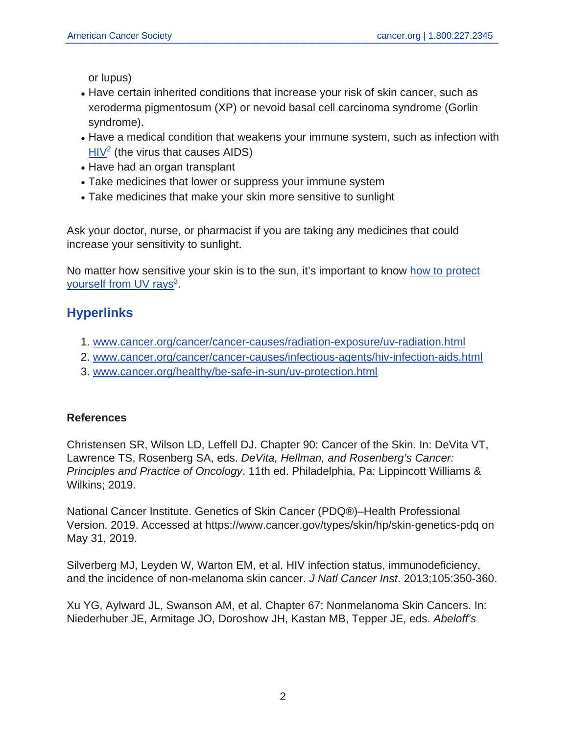or lupus)

- Have certain inherited conditions that increase your risk of skin cancer, such as xeroderma pigmentosum (XP) or nevoid basal cell carcinoma syndrome (Gorlin syndrome).
- Have a medical condition that weakens your immune system, such as infection with [HIV](https://www.cancer.org/cancer/cancer-causes/infectious-agents/hiv-infection-aids.html)<sup>2</sup> (the virus that causes AIDS)
- Have had an organ transplant
- Take medicines that lower or suppress your immune system
- Take medicines that make your skin more sensitive to sunlight

Ask your doctor, nurse, or pharmacist if you are taking any medicines that could increase your sensitivity to sunlight.

No matter how sensitive your skin is to the sun, it's important to know [how to protect](https://www.cancer.org/healthy/be-safe-in-sun/uv-protection.html) [yourself from UV rays](https://www.cancer.org/healthy/be-safe-in-sun/uv-protection.html)<sup>3</sup>.

## **Hyperlinks**

- 1. [www.cancer.org/cancer/cancer-causes/radiation-exposure/uv-radiation.html](https://www.cancer.org/cancer/cancer-causes/radiation-exposure/uv-radiation.html)
- 2. [www.cancer.org/cancer/cancer-causes/infectious-agents/hiv-infection-aids.html](https://www.cancer.org/cancer/cancer-causes/infectious-agents/hiv-infection-aids.html)
- 3. [www.cancer.org/healthy/be-safe-in-sun/uv-protection.html](https://www.cancer.org/healthy/be-safe-in-sun/uv-protection.html)

## **References**

Christensen SR, Wilson LD, Leffell DJ. Chapter 90: Cancer of the Skin. In: DeVita VT, Lawrence TS, Rosenberg SA, eds. DeVita, Hellman, and Rosenberg's Cancer: Principles and Practice of Oncology. 11th ed. Philadelphia, Pa: Lippincott Williams & Wilkins; 2019.

National Cancer Institute. Genetics of Skin Cancer (PDQ®)–Health Professional Version. 2019. Accessed at https://www.cancer.gov/types/skin/hp/skin-genetics-pdq on May 31, 2019.

Silverberg MJ, Leyden W, Warton EM, et al. HIV infection status, immunodeficiency, and the incidence of non-melanoma skin cancer. J Natl Cancer Inst. 2013;105:350-360.

Xu YG, Aylward JL, Swanson AM, et al. Chapter 67: Nonmelanoma Skin Cancers. In: Niederhuber JE, Armitage JO, Doroshow JH, Kastan MB, Tepper JE, eds. Abeloff's